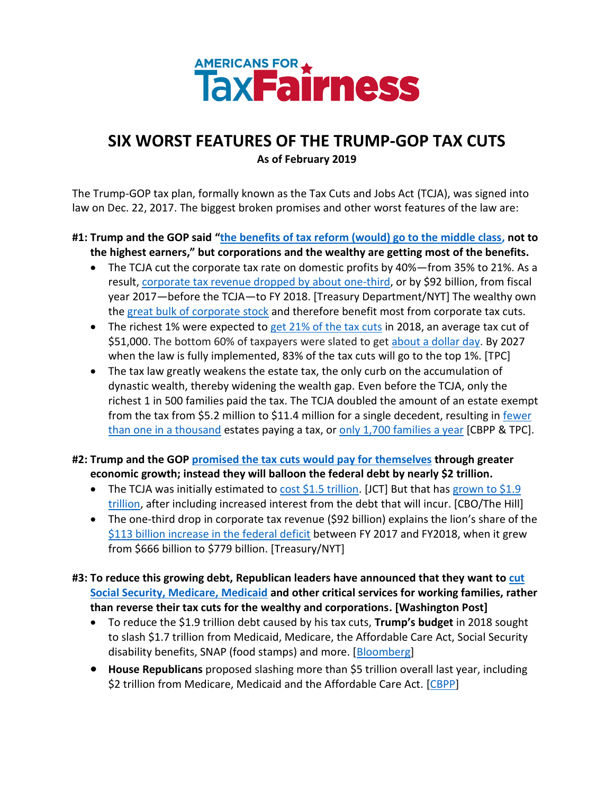

## **SIX WORST FEATURES OF THE TRUMP-GOP TAX CUTS As of February 2019**

The Trump-GOP tax plan, formally known as the Tax Cuts and Jobs Act (TCJA), was signed into law on Dec. 22, 2017. The biggest broken promises and other worst features of the law are:

## **#1: Trump and the GOP said "[the benefits of tax reform \(would\) go to the middle class, n](https://www.politico.com/story/2017/10/11/trump-tax-cut-pennsylvania-243688)ot to the highest earners," but corporations and the wealthy are getting most of the benefits.**

- The TCJA cut the corporate tax rate on domestic profits by 40%—from 35% to 21%. As a result[, corporate tax revenue dropped by about one-third,](https://www.nytimes.com/2018/10/15/us/politics/federal-deficit-2018-trump-tax-cuts.html) or by \$92 billion, from fiscal year 2017—before the TCJA—to FY 2018. [Treasury Department/NYT] The wealthy own the [great bulk of corporate stock](https://www.washingtonpost.com/news/wonk/wp/2017/12/18/for-roughly-half-of-americans-the-stock-markets-record-highs-dont-help-at-all/?utm_term=.ac80b09af45f) and therefore benefit most from corporate tax cuts.
- The richest 1% were expected to [get 21% of the tax cuts](http://www.taxpolicycenter.org/sites/default/files/publication/150816/2001641_distributional_analysis_of_the_conference_agreement_for_the_tax_cuts_and_jobs_act.pdf) in 2018, an average tax cut of \$51,000. The bottom 60% of taxpayers were slated to get [about a dollar day.](https://americansfortaxfairness.org/wp-content/uploads/ATF-Tax-Cuts-for-Bottom-60-of-Taxpayers-2018.xlsx) By 2027 when the law is fully implemented, 83% of the tax cuts will go to the top 1%. [TPC]
- The tax law greatly weakens the estate tax, the only curb on the accumulation of dynastic wealth, thereby widening the wealth gap. Even before the TCJA, only the richest 1 in 500 families paid the tax. The TCJA doubled the amount of an estate exempt from the tax from \$5.2 million to \$11.4 million for a single decedent, resulting in [fewer](https://www.cbpp.org/research/federal-tax/2017-tax-law-weakens-estate-tax-benefiting-wealthiest-and-expanding-avoidance)  [than one in a thousand](https://www.cbpp.org/research/federal-tax/2017-tax-law-weakens-estate-tax-benefiting-wealthiest-and-expanding-avoidance) estates paying a tax, or [only 1,700 families a year](https://www.taxpolicycenter.org/taxvox/only-1700-estates-would-owe-estate-tax-2018-under-tcja) [CBPP  $\&$  TPC].
- **#2: Trump and the GOP promised the tax cuts [would pay for themselves](file:///C:/Users/frank/Dropbox%20(AfTF)/For%20Campaign%20Staff%20Only/Tax%20Cuts%20&%20Jobs%20Act/ATF%20Materials/The%20average%20tax%20cut%20for%20the%20top%201%25%20will%20be%20$51,000%20in%202018;%20the%20bottom%2060%25%20of%20taxpayers%20will%20get%20about%20a%20dollar%20day) through greater economic growth; instead they will balloon the federal debt by nearly \$2 trillion.** 
	- The TCJA was initially estimated to [cost \\$1.5 trillion.](https://www.jct.gov/publications.html?func=startdown&id=5053) [JCT] But that has grown to \$1.9 [trillion,](https://thehill.com/policy/finance/382319-gop-tax-law-will-add-19-trillion-to-debt-cbo) after including increased interest from the debt that will incur. [CBO/The Hill]
	- The one-third drop in corporate tax revenue (\$92 billion) explains the lion's share of the \$113 [billion increase in the federal deficit](https://www.nytimes.com/2018/10/15/us/politics/federal-deficit-2018-trump-tax-cuts.html) between FY 2017 and FY2018, when it grew from \$666 billion to \$779 billion. [Treasury/NYT]
- **#3: To reduce this growing debt, Republican leaders have announced that they want t[o cut](https://www.washingtonpost.com/business/economy/mcconnell-calls-deficit-very-disturbing-blames-federal-spending-dismisses-criticism-of-tax-cut/2018/10/16/a5b93da0-d15c-11e8-8c22-fa2ef74bd6d6_story.html?utm_term=.828c971a42cd)  [Social Security, Medicare,](https://www.washingtonpost.com/business/economy/mcconnell-calls-deficit-very-disturbing-blames-federal-spending-dismisses-criticism-of-tax-cut/2018/10/16/a5b93da0-d15c-11e8-8c22-fa2ef74bd6d6_story.html?utm_term=.828c971a42cd) Medicaid and other critical services for working families, rather than reverse their tax cuts for the wealthy and corporations. [Washington Post]**
	- To reduce the \$1.9 trillion debt caused by his tax cuts, **Trump's budget** in 2018 sought to slash \$1.7 trillion from Medicaid, Medicare, the Affordable Care Act, Social Security disability benefits, SNAP (food stamps) and more. [\[Bloomberg\]](https://www.bloomberg.com/news/articles/2018-02-12/trump-to-urge-wall-opioid-spending-as-congress-sets-own-course)
	- **House Republicans** proposed slashing more than \$5 trillion overall last year, including \$2 trillion from Medicare, Medicaid and the Affordable Care Act. [\[CBPP\]](https://www.cbpp.org/sites/default/files/atoms/files/6-28-18bud.pdf)